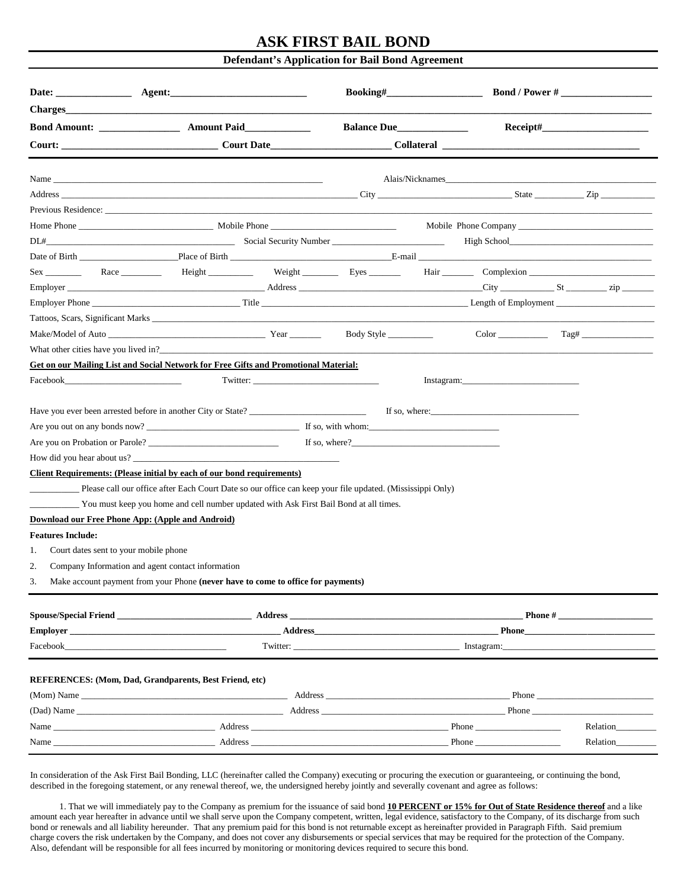## **ASK FIRST BAIL BOND**

## **Defendant's Application for Bail Bond Agreement**

|                                                                                                                                                                                                                                |                                                                                                                                                                                                                                                                                                                                                                                                                                                                                                         |          | Balance Due                                                                                                                                                                                                                                    |                                                                                                                                                                                                                                      |                                                                                                                                                                                                                                | $\textbf{Receipt}\#$                                                                                                                                                                                                          |  |
|--------------------------------------------------------------------------------------------------------------------------------------------------------------------------------------------------------------------------------|---------------------------------------------------------------------------------------------------------------------------------------------------------------------------------------------------------------------------------------------------------------------------------------------------------------------------------------------------------------------------------------------------------------------------------------------------------------------------------------------------------|----------|------------------------------------------------------------------------------------------------------------------------------------------------------------------------------------------------------------------------------------------------|--------------------------------------------------------------------------------------------------------------------------------------------------------------------------------------------------------------------------------------|--------------------------------------------------------------------------------------------------------------------------------------------------------------------------------------------------------------------------------|-------------------------------------------------------------------------------------------------------------------------------------------------------------------------------------------------------------------------------|--|
|                                                                                                                                                                                                                                | Court: Court Date                                                                                                                                                                                                                                                                                                                                                                                                                                                                                       |          |                                                                                                                                                                                                                                                |                                                                                                                                                                                                                                      |                                                                                                                                                                                                                                | Collateral Contract Collateral                                                                                                                                                                                                |  |
|                                                                                                                                                                                                                                |                                                                                                                                                                                                                                                                                                                                                                                                                                                                                                         |          |                                                                                                                                                                                                                                                |                                                                                                                                                                                                                                      |                                                                                                                                                                                                                                |                                                                                                                                                                                                                               |  |
|                                                                                                                                                                                                                                |                                                                                                                                                                                                                                                                                                                                                                                                                                                                                                         |          |                                                                                                                                                                                                                                                |                                                                                                                                                                                                                                      |                                                                                                                                                                                                                                |                                                                                                                                                                                                                               |  |
|                                                                                                                                                                                                                                |                                                                                                                                                                                                                                                                                                                                                                                                                                                                                                         |          |                                                                                                                                                                                                                                                |                                                                                                                                                                                                                                      |                                                                                                                                                                                                                                |                                                                                                                                                                                                                               |  |
|                                                                                                                                                                                                                                |                                                                                                                                                                                                                                                                                                                                                                                                                                                                                                         |          |                                                                                                                                                                                                                                                |                                                                                                                                                                                                                                      |                                                                                                                                                                                                                                |                                                                                                                                                                                                                               |  |
|                                                                                                                                                                                                                                |                                                                                                                                                                                                                                                                                                                                                                                                                                                                                                         |          |                                                                                                                                                                                                                                                |                                                                                                                                                                                                                                      |                                                                                                                                                                                                                                | High School and the School and the School and the School and the School and the School and the School and the School and the School and the School and the School and the School and the School and the School and the School |  |
|                                                                                                                                                                                                                                |                                                                                                                                                                                                                                                                                                                                                                                                                                                                                                         |          |                                                                                                                                                                                                                                                |                                                                                                                                                                                                                                      |                                                                                                                                                                                                                                |                                                                                                                                                                                                                               |  |
|                                                                                                                                                                                                                                |                                                                                                                                                                                                                                                                                                                                                                                                                                                                                                         |          |                                                                                                                                                                                                                                                |                                                                                                                                                                                                                                      |                                                                                                                                                                                                                                |                                                                                                                                                                                                                               |  |
|                                                                                                                                                                                                                                |                                                                                                                                                                                                                                                                                                                                                                                                                                                                                                         |          |                                                                                                                                                                                                                                                |                                                                                                                                                                                                                                      |                                                                                                                                                                                                                                |                                                                                                                                                                                                                               |  |
|                                                                                                                                                                                                                                |                                                                                                                                                                                                                                                                                                                                                                                                                                                                                                         |          |                                                                                                                                                                                                                                                |                                                                                                                                                                                                                                      |                                                                                                                                                                                                                                |                                                                                                                                                                                                                               |  |
|                                                                                                                                                                                                                                |                                                                                                                                                                                                                                                                                                                                                                                                                                                                                                         |          |                                                                                                                                                                                                                                                |                                                                                                                                                                                                                                      |                                                                                                                                                                                                                                |                                                                                                                                                                                                                               |  |
|                                                                                                                                                                                                                                |                                                                                                                                                                                                                                                                                                                                                                                                                                                                                                         |          |                                                                                                                                                                                                                                                |                                                                                                                                                                                                                                      |                                                                                                                                                                                                                                |                                                                                                                                                                                                                               |  |
|                                                                                                                                                                                                                                | What other cities have you lived in?                                                                                                                                                                                                                                                                                                                                                                                                                                                                    |          |                                                                                                                                                                                                                                                |                                                                                                                                                                                                                                      |                                                                                                                                                                                                                                |                                                                                                                                                                                                                               |  |
|                                                                                                                                                                                                                                | Get on our Mailing List and Social Network for Free Gifts and Promotional Material:                                                                                                                                                                                                                                                                                                                                                                                                                     |          |                                                                                                                                                                                                                                                |                                                                                                                                                                                                                                      |                                                                                                                                                                                                                                |                                                                                                                                                                                                                               |  |
| Facebook and the second service service service service service service service service service service service                                                                                                                |                                                                                                                                                                                                                                                                                                                                                                                                                                                                                                         | Twitter: |                                                                                                                                                                                                                                                |                                                                                                                                                                                                                                      | Instagram: The Commission of the Commission of the Commission of the Commission of the Commission of the Commission of the Commission of the Commission of the Commission of the Commission of the Commission of the Commissio |                                                                                                                                                                                                                               |  |
| <b>Features Include:</b><br>Court dates sent to your mobile phone<br>1.<br>2.<br>3.                                                                                                                                            | How did you hear about us?<br>Client Requirements: (Please initial by each of our bond requirements)<br>Please call our office after Each Court Date so our office can keep your file updated. (Mississippi Only)<br>You must keep you home and cell number updated with Ask First Bail Bond at all times.<br>Download our Free Phone App: (Apple and Android)<br>Company Information and agent contact information<br>Make account payment from your Phone (never have to come to office for payments) |          | If so, where?                                                                                                                                                                                                                                  |                                                                                                                                                                                                                                      |                                                                                                                                                                                                                                |                                                                                                                                                                                                                               |  |
| Spouse/Special Friend <b>Example 2018</b>                                                                                                                                                                                      |                                                                                                                                                                                                                                                                                                                                                                                                                                                                                                         |          |                                                                                                                                                                                                                                                | Address <b>and the contract of the contract of the contract of the contract of the contract of the contract of the contract of the contract of the contract of the contract of the contract of the contract of the contract of t</b> |                                                                                                                                                                                                                                |                                                                                                                                                                                                                               |  |
|                                                                                                                                                                                                                                | Employer                                                                                                                                                                                                                                                                                                                                                                                                                                                                                                |          | Address and the state of the state of the state of the state of the state of the state of the state of the state of the state of the state of the state of the state of the state of the state of the state of the state of th<br><b>Phone</b> |                                                                                                                                                                                                                                      |                                                                                                                                                                                                                                |                                                                                                                                                                                                                               |  |
| Facebook and the set of the set of the set of the set of the set of the set of the set of the set of the set of the set of the set of the set of the set of the set of the set of the set of the set of the set of the set of  |                                                                                                                                                                                                                                                                                                                                                                                                                                                                                                         |          |                                                                                                                                                                                                                                                |                                                                                                                                                                                                                                      |                                                                                                                                                                                                                                |                                                                                                                                                                                                                               |  |
|                                                                                                                                                                                                                                | <b>REFERENCES:</b> (Mom, Dad, Grandparents, Best Friend, etc)                                                                                                                                                                                                                                                                                                                                                                                                                                           |          |                                                                                                                                                                                                                                                |                                                                                                                                                                                                                                      |                                                                                                                                                                                                                                |                                                                                                                                                                                                                               |  |
| (Mom) Name Phone Phone Phone Phone Phone Phone Phone Phone Phone Phone Phone Phone Phone Phone Phone Phone Phone Phone Phone Phone Phone Phone Phone Phone Phone Phone Phone Phone Phone Phone Phone Phone Phone Phone Phone P |                                                                                                                                                                                                                                                                                                                                                                                                                                                                                                         |          |                                                                                                                                                                                                                                                |                                                                                                                                                                                                                                      |                                                                                                                                                                                                                                |                                                                                                                                                                                                                               |  |
|                                                                                                                                                                                                                                |                                                                                                                                                                                                                                                                                                                                                                                                                                                                                                         |          |                                                                                                                                                                                                                                                |                                                                                                                                                                                                                                      |                                                                                                                                                                                                                                | <b>Phone</b>                                                                                                                                                                                                                  |  |
|                                                                                                                                                                                                                                |                                                                                                                                                                                                                                                                                                                                                                                                                                                                                                         |          |                                                                                                                                                                                                                                                |                                                                                                                                                                                                                                      |                                                                                                                                                                                                                                |                                                                                                                                                                                                                               |  |
|                                                                                                                                                                                                                                |                                                                                                                                                                                                                                                                                                                                                                                                                                                                                                         |          |                                                                                                                                                                                                                                                |                                                                                                                                                                                                                                      | Phone                                                                                                                                                                                                                          | Relation                                                                                                                                                                                                                      |  |

In consideration of the Ask First Bail Bonding, LLC (hereinafter called the Company) executing or procuring the execution or guaranteeing, or continuing the bond, described in the foregoing statement, or any renewal thereof, we, the undersigned hereby jointly and severally covenant and agree as follows:

 1. That we will immediately pay to the Company as premium for the issuance of said bond **10 PERCENT or 15% for Out of State Residence thereof** and a like amount each year hereafter in advance until we shall serve upon the Company competent, written, legal evidence, satisfactory to the Company, of its discharge from such bond or renewals and all liability hereunder. That any premium paid for this bond is not returnable except as hereinafter provided in Paragraph Fifth. Said premium charge covers the risk undertaken by the Company, and does not cover any disbursements or special services that may be required for the protection of the Company. Also, defendant will be responsible for all fees incurred by monitoring or monitoring devices required to secure this bond.